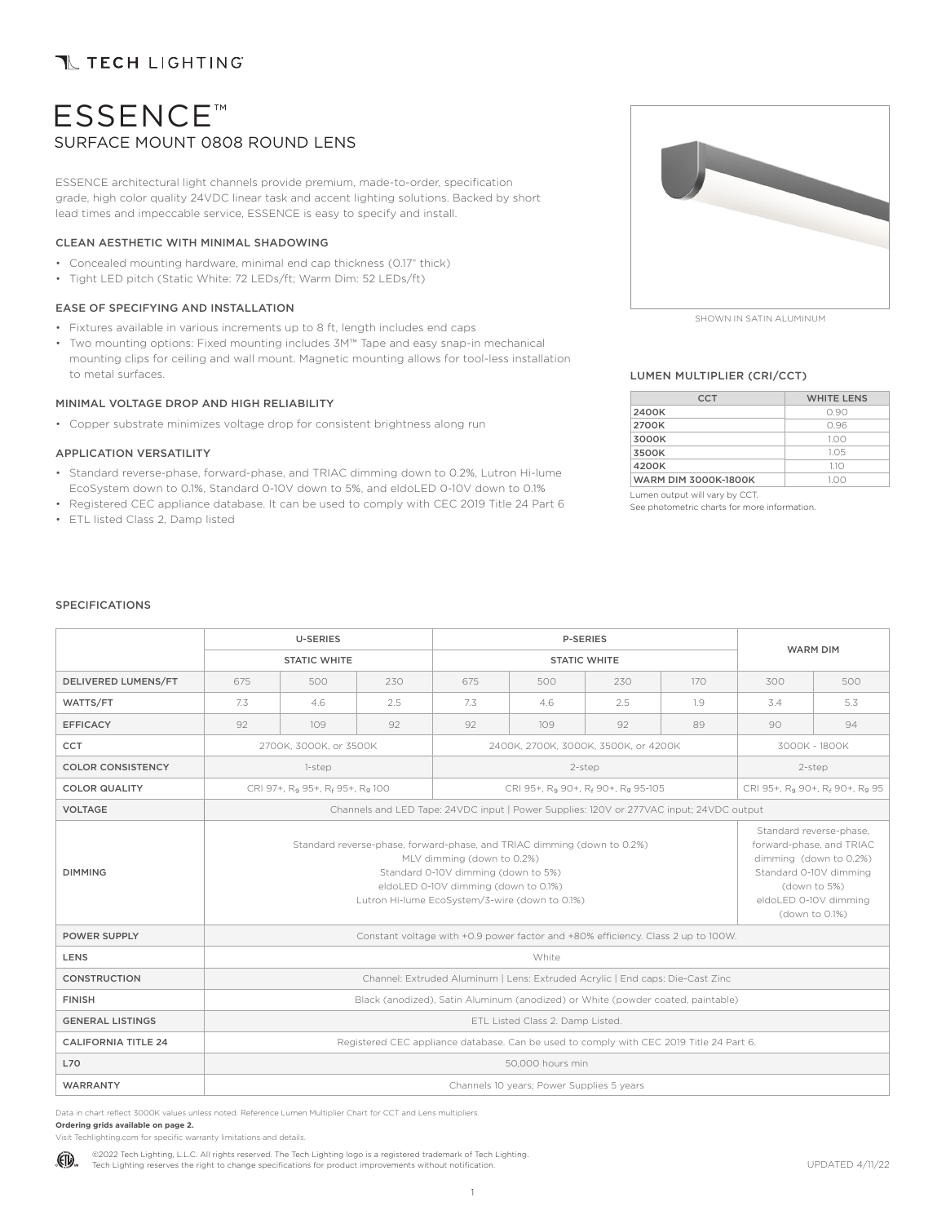## **T TECH LIGHTING**

# ESSENCE™ SURFACE MOUNT 0808 ROUND LENS

ESSENCE architectural light channels provide premium, made-to-order, specification grade, high color quality 24VDC linear task and accent lighting solutions. Backed by short lead times and impeccable service, ESSENCE is easy to specify and install.

### CLEAN AESTHETIC WITH MINIMAL SHADOWING

- Concealed mounting hardware, minimal end cap thickness (0.17" thick)
- Tight LED pitch (Static White: 72 LEDs/ft; Warm Dim: 52 LEDs/ft)

### EASE OF SPECIFYING AND INSTALLATION

- Fixtures available in various increments up to 8 ft, length includes end caps
- Two mounting options: Fixed mounting includes 3M™ Tape and easy snap-in mechanical mounting clips for ceiling and wall mount. Magnetic mounting allows for tool-less installation to metal surfaces.

### MINIMAL VOLTAGE DROP AND HIGH RELIABILITY

• Copper substrate minimizes voltage drop for consistent brightness along run

### APPLICATION VERSATILITY

- Standard reverse-phase, forward-phase, and TRIAC dimming down to 0.2%, Lutron Hi-lume EcoSystem down to 0.1%, Standard 0-10V down to 5%, and eldoLED 0-10V down to 0.1%
- Registered CEC appliance database. It can be used to comply with CEC 2019 Title 24 Part 6
- ETL listed Class 2, Damp listed



SHOWN IN SATIN ALUMINUM

### LUMEN MULTIPLIER (CRI/CCT)

| <b>CCT</b>                  | <b>WHITE LENS</b> |
|-----------------------------|-------------------|
| 2400K                       | O 90              |
| 2700K                       | 096               |
| 3000K                       | 1.00              |
| 3500K                       | 1.05              |
| 4200K                       | 1.1O              |
| <b>WARM DIM 3000K-1800K</b> | 100               |

Lumen output will vary by CCT.

See photometric charts for more information.

### SPECIFICATIONS

|                            |                                                                                 | <b>U-SERIES</b>                                         |     |                                                                                                                                                                                                                                        | P-SERIES            |                                                            |                                                                                                                                                                    |                                                        |               |  |
|----------------------------|---------------------------------------------------------------------------------|---------------------------------------------------------|-----|----------------------------------------------------------------------------------------------------------------------------------------------------------------------------------------------------------------------------------------|---------------------|------------------------------------------------------------|--------------------------------------------------------------------------------------------------------------------------------------------------------------------|--------------------------------------------------------|---------------|--|
|                            |                                                                                 | <b>STATIC WHITE</b>                                     |     |                                                                                                                                                                                                                                        | <b>STATIC WHITE</b> | <b>WARM DIM</b>                                            |                                                                                                                                                                    |                                                        |               |  |
| DELIVERED LUMENS/FT        | 675                                                                             | 500                                                     | 230 | 675                                                                                                                                                                                                                                    | 500                 | 230                                                        | 170                                                                                                                                                                | 300                                                    | 500           |  |
| WATTS/FT                   | 7.3<br>4.6<br>2.5                                                               |                                                         | 7.3 | 4.6                                                                                                                                                                                                                                    | 2.5                 | 1.9                                                        | 3.4                                                                                                                                                                | 5.3                                                    |               |  |
| <b>EFFICACY</b>            | 92<br>109<br>92                                                                 |                                                         | 92  | 109                                                                                                                                                                                                                                    | 92                  | 89                                                         | 90                                                                                                                                                                 | 94                                                     |               |  |
| CCT                        |                                                                                 | 2700K, 3000K, or 3500K                                  |     |                                                                                                                                                                                                                                        |                     | 2400K, 2700K, 3000K, 3500K, or 4200K                       |                                                                                                                                                                    |                                                        | 3000K - 1800K |  |
| <b>COLOR CONSISTENCY</b>   |                                                                                 | 1-step                                                  |     |                                                                                                                                                                                                                                        |                     | 2-step                                                     |                                                                                                                                                                    | 2-step                                                 |               |  |
| <b>COLOR QUALITY</b>       |                                                                                 | CRI 97+, R <sub>9</sub> 95+, R <sub>f</sub> 95+, Rg 100 |     |                                                                                                                                                                                                                                        |                     | CRI 95+, R <sub>9</sub> 90+, R <sub>f</sub> 90+, Rg 95-105 |                                                                                                                                                                    | CRI 95+, R <sub>9</sub> 90+, R <sub>f</sub> 90+, Rg 95 |               |  |
| <b>VOLTAGE</b>             |                                                                                 |                                                         |     | Channels and LED Tape: 24VDC input   Power Supplies: 120V or 277VAC input; 24VDC output                                                                                                                                                |                     |                                                            |                                                                                                                                                                    |                                                        |               |  |
| <b>DIMMING</b>             |                                                                                 |                                                         |     | Standard reverse-phase, forward-phase, and TRIAC dimming (down to 0.2%)<br>MLV dimming (down to 0.2%)<br>Standard 0-10V dimming (down to 5%)<br>eldoLED 0-10V dimming (down to 0.1%)<br>Lutron Hi-lume EcoSystem/3-wire (down to 0.1%) |                     |                                                            | Standard reverse-phase,<br>forward-phase, and TRIAC<br>dimming (down to 0.2%)<br>Standard 0-10V dimming<br>(down to 5%)<br>eldoLED 0-10V dimming<br>(down to 0.1%) |                                                        |               |  |
| <b>POWER SUPPLY</b>        |                                                                                 |                                                         |     | Constant voltage with +0.9 power factor and +80% efficiency. Class 2 up to 100W.                                                                                                                                                       |                     |                                                            |                                                                                                                                                                    |                                                        |               |  |
| LENS                       |                                                                                 |                                                         |     |                                                                                                                                                                                                                                        | White               |                                                            |                                                                                                                                                                    |                                                        |               |  |
| <b>CONSTRUCTION</b>        |                                                                                 |                                                         |     | Channel: Extruded Aluminum   Lens: Extruded Acrylic   End caps: Die-Cast Zinc                                                                                                                                                          |                     |                                                            |                                                                                                                                                                    |                                                        |               |  |
| <b>FINISH</b>              | Black (anodized), Satin Aluminum (anodized) or White (powder coated, paintable) |                                                         |     |                                                                                                                                                                                                                                        |                     |                                                            |                                                                                                                                                                    |                                                        |               |  |
| <b>GENERAL LISTINGS</b>    | ETL Listed Class 2. Damp Listed.                                                |                                                         |     |                                                                                                                                                                                                                                        |                     |                                                            |                                                                                                                                                                    |                                                        |               |  |
| <b>CALIFORNIA TITLE 24</b> |                                                                                 |                                                         |     | Registered CEC appliance database. Can be used to comply with CEC 2019 Title 24 Part 6.                                                                                                                                                |                     |                                                            |                                                                                                                                                                    |                                                        |               |  |
| <b>L70</b>                 |                                                                                 |                                                         |     |                                                                                                                                                                                                                                        | 50,000 hours min    |                                                            |                                                                                                                                                                    |                                                        |               |  |
| WARRANTY                   | Channels 10 years; Power Supplies 5 years                                       |                                                         |     |                                                                                                                                                                                                                                        |                     |                                                            |                                                                                                                                                                    |                                                        |               |  |

Data in chart reflect 3000K values unless noted. Reference Lumen Multiplier Chart for CCT and Lens multipliers. **Ordering grids available on page 2.** 

Visit Techlighting.com for specific warranty limitations and details.

©2022 Tech Lighting, L.L.C. All rights reserved. The Tech Lighting logo is a registered trademark of Tech Lighting. (ETL) Tech Lighting reserves the right to change specifications for product improvements without notification.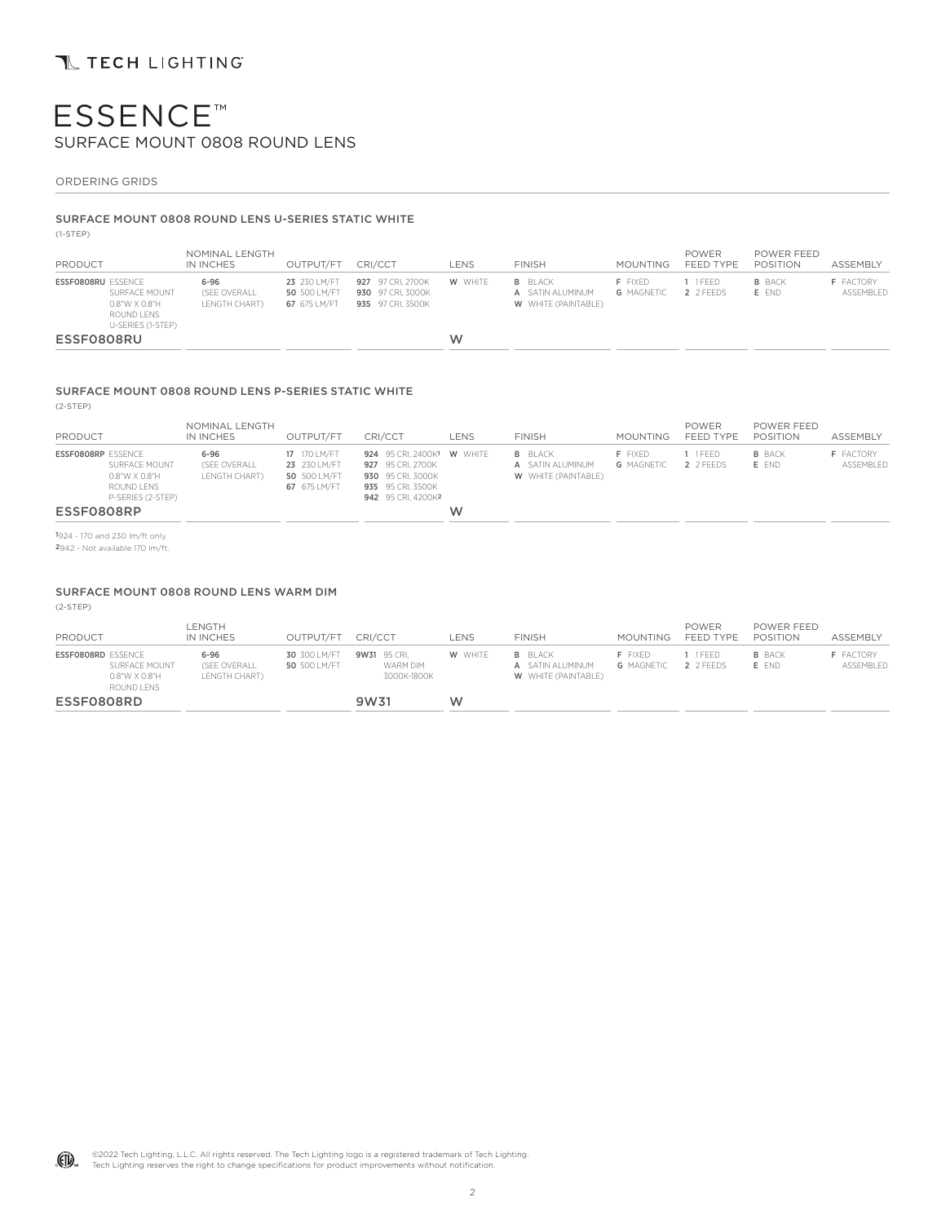### ORDERING GRIDS

### SURFACE MOUNT 0808 ROUND LENS U-SERIES STATIC WHITE

(1-STEP)

| PRODUCT                   |                                                                         | NOMINAL LENGTH<br>IN INCHES               | OUTPUT/FT                                    | CRI/CCT                                                     | LENS    | <b>FINISH</b>                                                    | MOUNTING                            | <b>POWER</b><br>FEED TYPE | POWER FEED<br>POSITION | <b>ASSEMBLY</b>               |
|---------------------------|-------------------------------------------------------------------------|-------------------------------------------|----------------------------------------------|-------------------------------------------------------------|---------|------------------------------------------------------------------|-------------------------------------|---------------------------|------------------------|-------------------------------|
| <b>ESSFO8O8RU ESSENCE</b> | SURFACE MOUNT<br>$0.8"$ W X $0.8"$ H<br>ROUND LENS<br>U-SERIES (1-STEP) | $6 - 96$<br>(SEE OVERALL<br>LENGTH CHART) | 23 230 LM/FT<br>50 500 LM/FT<br>67 675 LM/FT | 927 97 CRI. 2700K<br>930 97 CRI. 3000K<br>935 97 CRI. 3500K | W WHITE | <b>B</b> BLACK<br>A SATIN ALUMINUM<br><b>W</b> WHITE (PAINTABLE) | <b>F</b> FIXED<br><b>G</b> MAGNETIC | 1 1 FFFD<br>2 2 FEEDS     | <b>B</b> BACK<br>E FND | <b>F</b> FACTORY<br>ASSEMBLED |
| ESSF0808RU                |                                                                         |                                           |                                              |                                                             | W       |                                                                  |                                     |                           |                        |                               |

### SURFACE MOUNT 0808 ROUND LENS P-SERIES STATIC WHITE

(2-STEP)

| PRODUCT                   |                                                                   | NOMINAL LENGTH<br>IN INCHES               | OUTPUT/FT                                                    | CRI/CCT                                                                                                         | LENS | <b>FINISH</b>                                                    | <b>MOUNTING</b>              | <b>POWER</b><br>FEED TYPE | POWER FEED<br>POSITION | ASSEMBLY                      |
|---------------------------|-------------------------------------------------------------------|-------------------------------------------|--------------------------------------------------------------|-----------------------------------------------------------------------------------------------------------------|------|------------------------------------------------------------------|------------------------------|---------------------------|------------------------|-------------------------------|
| <b>ESSFO8O8RP ESSENCE</b> | SURFACE MOUNT<br>0.8"W X 0.8"H<br>ROUND LENS<br>P-SERIES (2-STEP) | $6 - 96$<br>(SEE OVERALL<br>LENGTH CHART) | 17 170 LM/FT<br>23 230 LM/FT<br>50 500 LM/FT<br>67 675 LM/FT | 924 95 CRI. 2400K1 W WHITE<br>927 95 CRI. 2700K<br>930 95 CRI. 3000K<br>935 95 CRI. 3500K<br>942 95 CRI. 4200K2 |      | <b>B</b> BLACK<br>A SATIN ALUMINUM<br><b>W</b> WHITE (PAINTABLE) | F FIXED<br><b>G</b> MAGNETIC | 1 1 FEED<br>2 2 FEEDS     | <b>B</b> BACK<br>E END | <b>F</b> FACTORY<br>ASSEMBLED |
| ESSF0808RP                |                                                                   |                                           |                                                              |                                                                                                                 | W    |                                                                  |                              |                           |                        |                               |

1924 - 170 and 230 lm/ft only.

2942 - Not available 170 lm/ft.

### SURFACE MOUNT 0808 ROUND LENS WARM DIM

(2-STEP)

| PRODUCT                   |                                              | LENGTH<br>IN INCHES                       | OUTPUT/FT                    | CRI/CCT                                 | LENS    | <b>FINISH</b>                                                    | MOUNTING                            | <b>POWER</b><br>FEED TYPE | POWER FEED<br>POSITION | <b>ASSEMBLY</b>               |
|---------------------------|----------------------------------------------|-------------------------------------------|------------------------------|-----------------------------------------|---------|------------------------------------------------------------------|-------------------------------------|---------------------------|------------------------|-------------------------------|
| <b>ESSFO8O8RD ESSENCE</b> | SURFACE MOUNT<br>0.8"W X 0.8"H<br>ROUND LENS | $6 - 96$<br>(SEE OVERALL<br>LENGTH CHART) | 30 300 LM/FT<br>50 500 LM/FT | 9W31 95 CRI.<br>WARM DIM<br>3000K-1800K | W WHITE | <b>B</b> BLACK<br>A SATIN ALUMINUM<br><b>W</b> WHITE (PAINTABLE) | <b>F</b> FIXED<br><b>G</b> MAGNETIC | I 1 FFFD<br>2 2 FEEDS     | <b>B</b> BACK<br>E END | <b>F</b> FACTORY<br>ASSEMBLED |
| ESSF0808RD                |                                              |                                           |                              | 9W31                                    | W       |                                                                  |                                     |                           |                        |                               |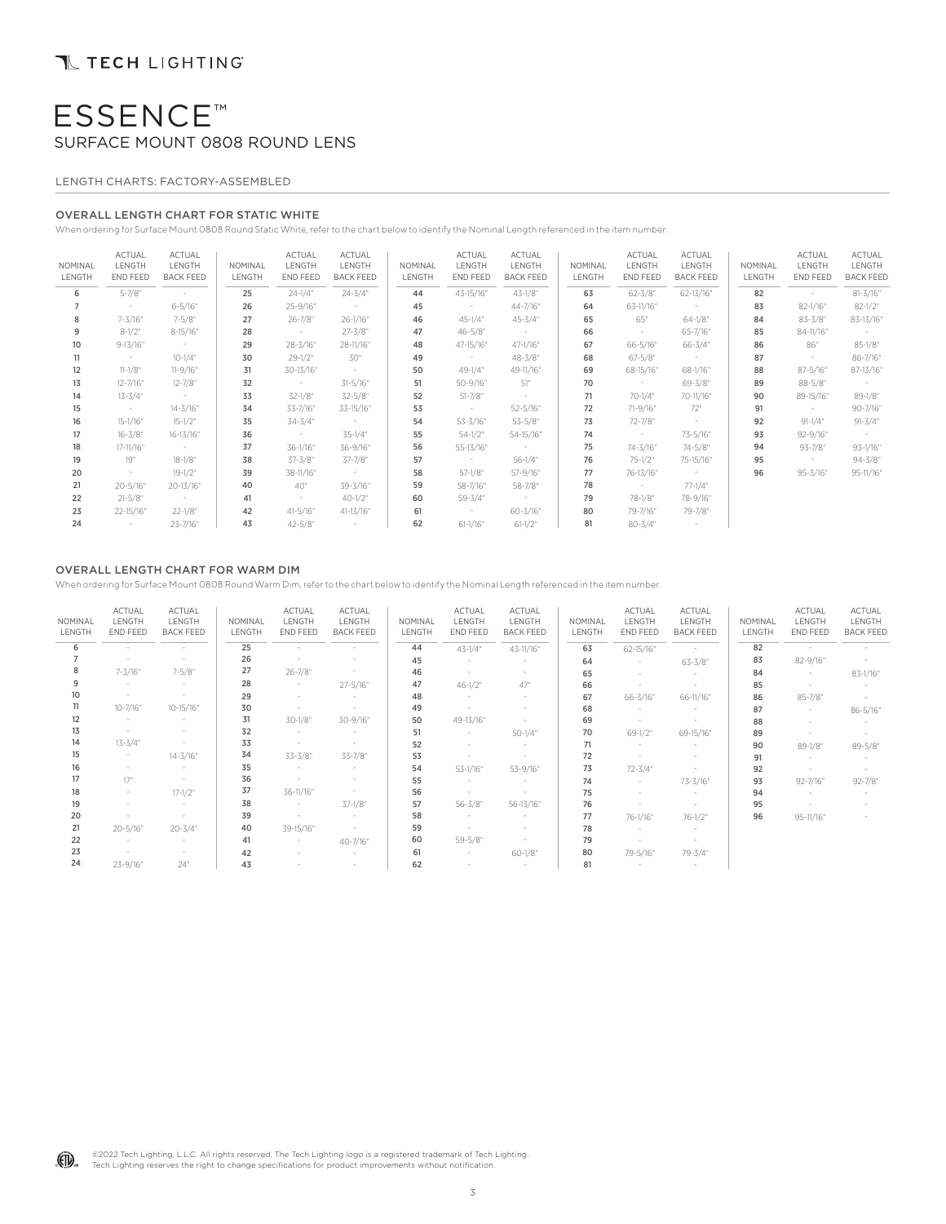### LENGTH CHARTS: FACTORY-ASSEMBLED

### OVERALL LENGTH CHART FOR STATIC WHITE

When ordering for Surface Mount 0808 Round Static White, refer to the chart below to identify the Nominal Length referenced in the item number.

| NOMINAL<br>LENGTH | ACTUAL<br>LENGTH<br>END FEED | ACTUAL<br>LENGTH<br><b>BACK FEED</b> | NOMINAL<br>LENGTH | ACTUAL<br>LENGTH<br>END FEED | <b>ACTUAL</b><br>LENGTH<br><b>BACK FEED</b> | NOMINAL<br>LENGTH | ACTUAL<br>LENGTH<br>END FEED | ACTUAL<br>LENGTH<br><b>BACK FEED</b> | NOMINAL<br>LENGTH | ACTUAL<br>LENGTH<br>END FEED | ACTUAL<br>LENGTH<br><b>BACK FEED</b> | NOMINAL<br>LENGTH | ACTUAL<br>LENGTH<br>END FEED | ACTUAL<br>LENGTH<br><b>BACK FEED</b> |
|-------------------|------------------------------|--------------------------------------|-------------------|------------------------------|---------------------------------------------|-------------------|------------------------------|--------------------------------------|-------------------|------------------------------|--------------------------------------|-------------------|------------------------------|--------------------------------------|
| 6                 | $5 - 7/8"$                   | $\sim$                               | 25                | $24 - 1/4$ "                 | $24 - 3/4"$                                 | 44                | 43-15/16"                    | $43 - 1/8"$                          | 63                | $62 - 3/8"$                  | 62-13/16"                            | 82                | $\sim$                       | $81 - 3/16"$                         |
|                   | $\sim$                       | $6 - 5/16"$                          | 26                | 25-9/16"                     | $\sim$                                      | 45                | $\sim$                       | 44-7/16"                             | 64                | 63-11/16"                    | $\sim$                               | 83                | $82 - 1/16"$                 | $82 - 1/2"$                          |
| 8                 | 7-3/16"                      | $7 - 5/8"$                           | 27                | $26 - 7/8"$                  | $26 - 1/16"$                                | 46                | $45 - 1/4$ "                 | $45 - 3/4"$                          | 65                | 65"                          | $64 - 1/8"$                          | 84                | $83 - 3/8"$                  | 83-13/16"                            |
| 9                 | $8 - 1/2$ "                  | $8-15/16"$                           | 28                | $\sim$ $-$                   | $27 - 3/8"$                                 | 47                | $46 - 5/8$ "                 | $\sim$                               | 66                | $\sim$                       | 65-7/16"                             | 85                | 84-11/16"                    | $\sim$                               |
| 10 <sup>°</sup>   | $9 - 13 / 16"$               | $\sim$                               | 29                | 28-3/16"                     | 28-11/16"                                   | 48                | 47-15/16"                    | $47 - 1/16"$                         | 67                | $66 - 5/16"$                 | $66 - 3/4"$                          | 86                | 86"                          | $85 - 1/8"$                          |
| 11                | $\alpha$ , $\alpha$          | $10 - 1/4"$                          | 30                | $29 - 1/2$ "                 | 30"                                         | 49                | $\sim 100$                   | $48 - 3/8"$                          | 68                | $67 - 5/8$ "                 | $\sim$ $\sim$                        | 87                | $\sim$                       | 86-7/16"                             |
| 12                | $11-1/8"$                    | $11 - 9/16"$                         | 31                | 30-13/16"                    | $\sim$                                      | 50                | $49 - 1/4"$                  | 49-11/16"                            | 69                | 68-15/16"                    | $68 - 1/16"$                         | 88                | $87 - 5/16"$                 | 87-13/16"                            |
| 13                | $12 - 7/16"$                 | $12 - 7/8"$                          | 32                | $\sim 10^{-1}$               | $31 - 5/16"$                                | 51                | $50 - 9/16"$                 | 51"                                  | 70                | $\sim$ $-$                   | $69 - 3/8"$                          | 89                | $88 - 5/8$ "                 | $\sim$                               |
| 14                | $13 - 3/4"$                  | $\sim$                               | 33                | 32-1/8"                      | $32 - 5/8"$                                 | 52                | $51 - 7/8$ "                 | $\sim$                               | 71                | 70-1/4"                      | 70-11/16"                            | 90                | 89-15/16"                    | $89 - 1/8"$                          |
| 15                | $\sim$ $-$                   | $14 - 3/16"$                         | 34                | 33-7/16"                     | 33-15/16"                                   | 53                | $\sim$                       | $52 - 5/16"$                         | 72                | 71-9/16"                     | 72"                                  | 91                | $\sim$                       | 90-7/16"                             |
| 16                | $15 - 1/16"$                 | $15-1/2"$                            | 35                | $34 - 3/4"$                  | $\sim$ $-$                                  | 54                | 53-3/16"                     | $53 - 5/8"$                          | 73                | 72-7/8"                      | $\sim$                               | 92                | $91-1/4"$                    | $91 - 3/4"$                          |
| 17                | $16 - 3/8"$                  | 16-13/16"                            | 36                | $\sim$ $-$                   | 35-1/4"                                     | 55                | $54 - 1/2$ "                 | 54-15/16"                            | 74                | $\sim$ 100 $\pm$             | 73-5/16"                             | 93                | 92-9/16"                     | $\sim$                               |
| 18                | 17-11/16"                    | $\sim$                               | 37                | 36-1/16"                     | 36-9/16"                                    | 56                | 55-13/16"                    | $\sim 10^{-10}$                      | 75                | 74-3/16"                     | 74-5/8"                              | 94                | $93 - 7/8"$                  | $93-1/16"$                           |
| 19                | 19"                          | $18 - 1/8"$                          | 38                | $37 - 3/8"$                  | 37-7/8"                                     | 57                | $\sim 100$                   | $56 - 1/4"$                          | 76                | $75 - 1/2"$                  | 75-15/16"                            | 95                | $\sim$                       | $94 - 3/8"$                          |
| 20                | $\sim$                       | $19 - 1/2$ "                         | 39                | 38-11/16"                    | $\sim$ $-$                                  | 58                | $57 - 1/8$ "                 | 57-9/16"                             | 77                | 76-13/16"                    | $\sim$                               | 96                | $95 - 3/16"$                 | 95-11/16"                            |
| 21                | $20 - 5/16"$                 | 20-13/16"                            | 40                | 40"                          | 39-3/16"                                    | 59                | 58-7/16"                     | 58-7/8"                              | 78                | $\sim 10^{-10}$              | $77 - 1/4"$                          |                   |                              |                                      |
| 22                | $21 - 5/8"$                  | $\sim 10^{-11}$                      | 41                | $\sim$                       | $40 - 1/2$ "                                | 60                | $59 - 3/4"$                  | $\sim 10^{-10}$                      | 79                | 78-1/8"                      | 78-9/16"                             |                   |                              |                                      |
| 23                | 22-15/16"                    | $22 - 1/8"$                          | 42                | $41 - 5/16"$                 | 41-13/16"                                   | 61                | $\sim$                       | $60 - 3/16"$                         | 80                | 79-7/16"                     | 79-7/8"                              |                   |                              |                                      |
| 24                | $\sim$                       | 23-7/16"                             | 43                | $42 - 5/8"$                  | $\sim$                                      | 62                | $61-1/16"$                   | $61-1/2"$                            | 81                | $80 - 3/4"$                  | $\sim$                               |                   |                              |                                      |

### OVERALL LENGTH CHART FOR WARM DIM

When ordering for Surface Mount 0808 Round Warm Dim, refer to the chart below to identify the Nominal Length referenced in the item number.

| NOMINAL<br>LENGTH | <b>ACTUAL</b><br>LENGTH<br>END FEED | <b>ACTUAL</b><br>LENGTH<br><b>BACK FEED</b> | NOMINAL<br>LENGTH | <b>ACTUAL</b><br>LENGTH<br>END FEED | <b>ACTUAL</b><br>LENGTH<br><b>BACK FEED</b> | NOMINAL<br>LENGTH | <b>ACTUAL</b><br>LENGTH<br>END FEED | ACTUAL<br>LENGTH<br><b>BACK FEED</b> | NOMINAL<br>LENGTH | <b>ACTUAL</b><br>LENGTH<br>END FEED | <b>ACTUAL</b><br>LENGTH<br><b>BACK FEED</b> | NOMINAL<br>LENGTH | <b>ACTUAL</b><br>LENGTH<br>END FEED | <b>ACTUAL</b><br>LENGTH<br><b>BACK FEED</b> |
|-------------------|-------------------------------------|---------------------------------------------|-------------------|-------------------------------------|---------------------------------------------|-------------------|-------------------------------------|--------------------------------------|-------------------|-------------------------------------|---------------------------------------------|-------------------|-------------------------------------|---------------------------------------------|
| 6                 | $\sim$                              | $\sim$                                      | 25                | $\sim$                              | $\sim$                                      | 44                | $43 - 1/4$ "                        | 43-11/16"                            | 63                | 62-15/16"                           | $\sim$                                      | 82                | $\sim$                              | $\sim$                                      |
|                   | $\overline{\phantom{a}}$            | ٠                                           | 26                |                                     |                                             | 45                | $\sim$                              | $\sim$                               | 64                | $\sim$                              | $63 - 3/8"$                                 | 83                | $82 - 9/16"$                        | $\sim$                                      |
| 8                 | $7 - 3/16"$                         | $7 - 5/8"$                                  | 27                | $26 - 7/8$ "                        | $\sim$                                      | 46                | $\sim$                              | $\sim$                               | 65                | $\sim$                              | $\sim$                                      | 84                | $\sim$                              | $83 - 1/16"$                                |
| 9                 | $\sim$                              | $\sim$                                      | 28                | $\sim$                              | $27 - 5/16"$                                | 47                | $46 - 1/2$ "                        | 47°                                  | 66                |                                     |                                             | 85                |                                     |                                             |
| 10 <sup>10</sup>  | $\overline{\phantom{a}}$            | ۰                                           | 29                |                                     |                                             | 48                | $\sim$                              | $\sim$                               | 67                | 66-3/16"                            | 66-11/16"                                   | 86                | $85 - 7/8"$                         | $\sim$                                      |
| 11                | $10 - 7/16"$                        | $10 - 15 / 16"$                             | 30                | ٠                                   | $\sim$                                      | 49                |                                     |                                      | 68                | $\sim$                              | $\sim$                                      | 87                | $\sim$                              | $86 - 5/16"$                                |
| 12                | $\sim$                              | $\sim$                                      | 31                | $30 - 1/8"$                         | 30-9/16"                                    | 50                | 49-13/16"                           | $\sim$                               | 69                | $\sim$                              |                                             | 88                |                                     |                                             |
| 13                | $\sim$                              | $\sim$                                      | 32                | $\sim$                              | $\sim$                                      | 51                | $\sim$                              | $50 - 1/4"$                          | 70                | $69 - 1/2$ "                        | 69-15/16"                                   | 89                |                                     |                                             |
| 14                | $13 - 3/4"$                         | $\overline{\phantom{a}}$                    | 33                | $\sim$                              | $\sim$                                      | 52                |                                     | $\sim$                               | 71                | $\overline{\phantom{a}}$            | $\sim$                                      | 90                | $89 - 1/8"$                         | $89 - 5/8"$                                 |
| 15                | $\sim$                              | $14 - 3/16"$                                | 34                | $33 - 3/8"$                         | 33-7/8"                                     | 53                | $\sim$                              | $\sim$                               | 72                |                                     |                                             | 91                |                                     |                                             |
| 16                | $\overline{\phantom{a}}$            | $\sim$                                      | 35                | $\sim$                              | $\sim$                                      | 54                | 53-1/16"                            | 53-9/16"                             | 73                | $72 - 3/4"$                         |                                             | 92                |                                     |                                             |
| 17                | 17"                                 | $\sim$                                      | 36                |                                     |                                             | 55                | $\sim$                              | $\sim$                               | 74                | $\sim$                              | 73-3/16"                                    | 93                | $92 - 7/16"$                        | $92 - 7/8$ "                                |
| 18                | $\sim$                              | $17 - 1/2$ "                                | 37                | 36-11/16"                           | $\overline{\phantom{a}}$                    | 56                | $\sim$                              | $\sim$                               | 75                | $\sim$                              |                                             | 94                |                                     |                                             |
| 19                | $\sim$                              | $\sim$                                      | 38                | $\sim$                              | $37-1/8"$                                   | 57                | $56 - 3/8"$                         | 56-13/16"                            | 76                |                                     |                                             | 95                |                                     |                                             |
| 20                | ٠                                   |                                             | 39                | ×.                                  |                                             | 58                | a.                                  | $\sim$                               | 77                | 76-1/16"                            | $76 - 1/2$ "                                | 96                | 95-11/16"                           |                                             |
| 21                | $20 - 5/16"$                        | $20 - 3/4"$                                 | 40                | 39-15/16"                           | $\sim$                                      | 59                | $\sim$                              | $\sim$                               | 78                |                                     |                                             |                   |                                     |                                             |
| 22                | $\sim$                              | $\sim$                                      | 41                | $\sim$                              | 40-7/16"                                    | 60                | $59 - 5/8"$                         | $\sim$                               | 79                |                                     |                                             |                   |                                     |                                             |
| 23                | $\sim$                              | ۰                                           | 42                |                                     | $\sim$                                      | 61                | $\sim$                              | $60 - 1/8"$                          | 80                | 79-5/16"                            | 79-3/4"                                     |                   |                                     |                                             |
| 24                | 23-9/16"                            | 24"                                         | 43                |                                     | ٠                                           | 62                |                                     |                                      | 81                |                                     |                                             |                   |                                     |                                             |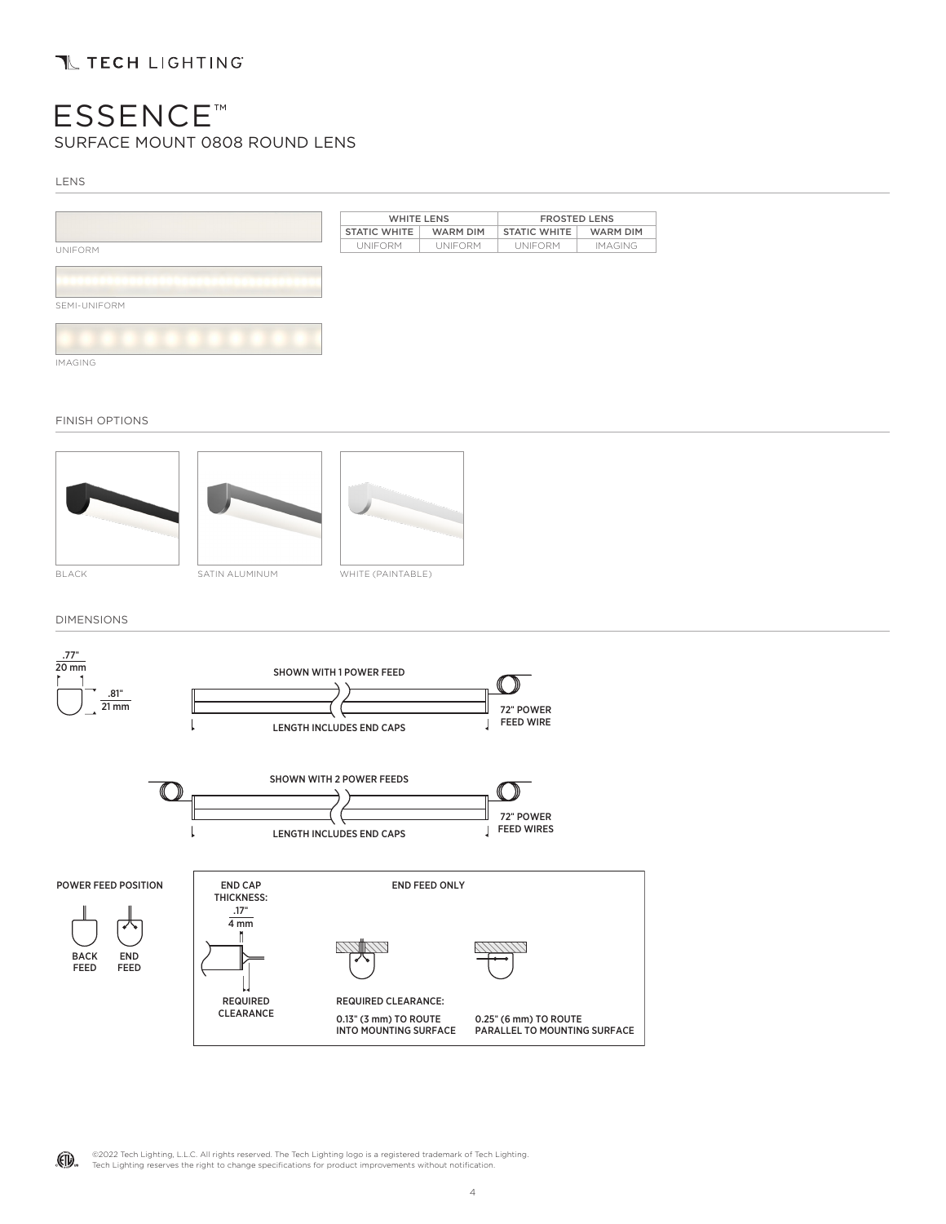LENS



FINISH OPTIONS







DIMENSIONS



©2022 Tech Lighting, L.L.C. All rights reserved. The Tech Lighting logo is a registered trademark of Tech Lighting. (印). Tech Lighting reserves the right to change specifications for product improvements without notification.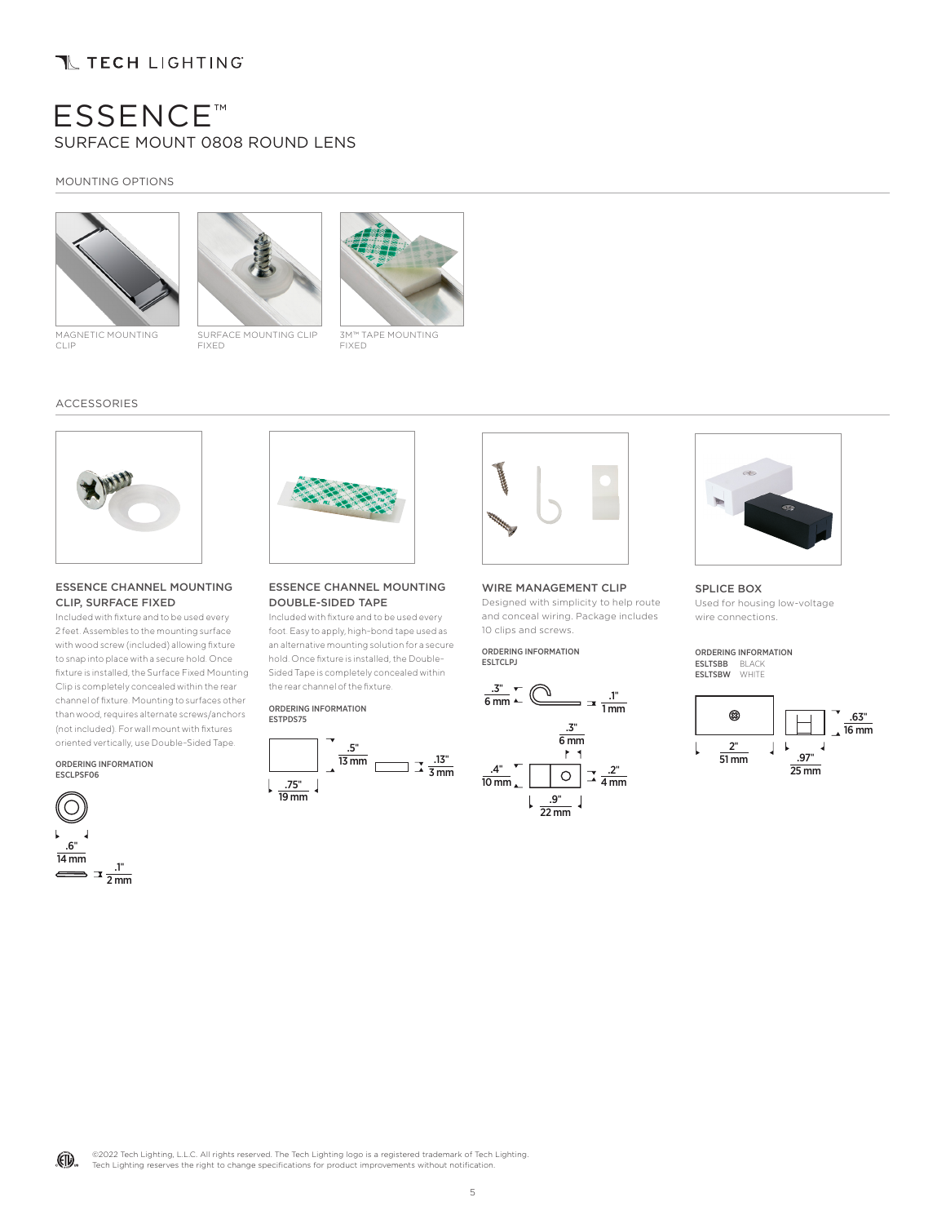## **TL TECH LIGHTING**

## ESSENCE™ SURFACE MOUNT 0808 ROUND LENS

### MOUNTING OPTIONS







MAGNETIC MOUNTING CLIP

SURFACE MOUNTING CLIP FIXED

3M™ TAPE MOUNTING FIXED

#### ACCESSORIES



#### ESSENCE CHANNEL MOUNTING CLIP, SURFACE FIXED

Included with fixture and to be used every 2 feet. Assembles to the mounting surface with wood screw (included) allowing fixture to snap into place with a secure hold. Once fixture is installed, the Surface Fixed Mounting Clip is completely concealed within the rear channel of fixture. Mounting to surfaces other than wood, requires alternate screws/anchors (not included). For wall mount with fixtures oriented vertically, use Double-Sided Tape.

ORDERING INFORMATION ESCLPSF06





#### ESSENCE CHANNEL MOUNTING DOUBLE-SIDED TAPE

Included with fixture and to be used every foot. Easy to apply, high-bond tape used as an alternative mounting solution for a secure hold. Once fixture is installed, the Double-Sided Tape is completely concealed within the rear channel of the fixture.

#### ORDERING INFORMATION ESTPDS75



### WIRE MANAGEMENT CLIP

Designed with simplicity to help route and conceal wiring. Package includes 10 clips and screws.

ORDERING INFORMATION ESLTCLPJ







SPLICE BOX Used for housing low-voltage wire connections.

#### ORDERING INFORMATION ESLTSBB BLACK ESLTSBW WHITE

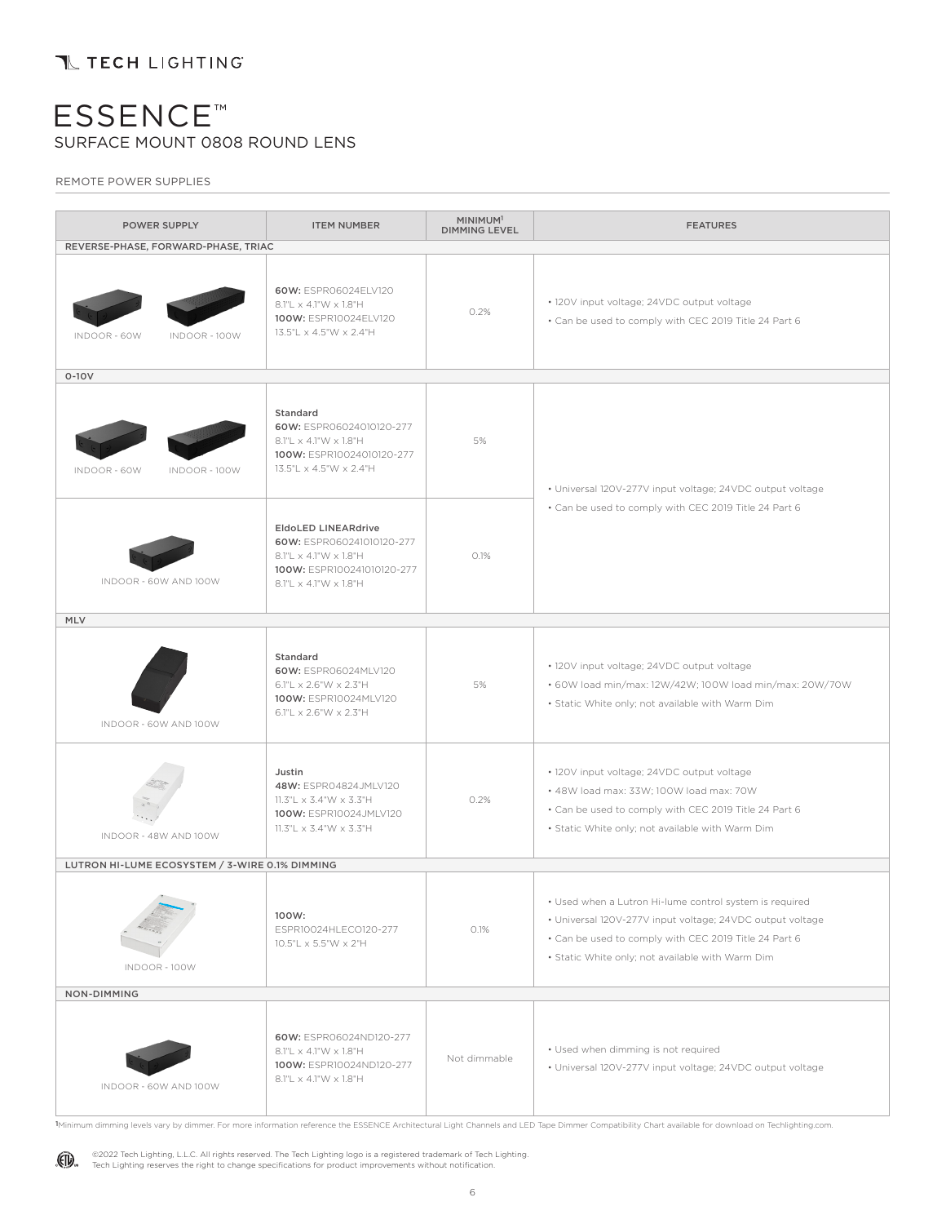REMOTE POWER SUPPLIES

| POWER SUPPLY                                   | <b>ITEM NUMBER</b>                                                                                                                                              | MINIMUM <sup>1</sup><br><b>DIMMING LEVEL</b> | <b>FEATURES</b>                                                                                                                                                                                                                   |  |  |  |  |
|------------------------------------------------|-----------------------------------------------------------------------------------------------------------------------------------------------------------------|----------------------------------------------|-----------------------------------------------------------------------------------------------------------------------------------------------------------------------------------------------------------------------------------|--|--|--|--|
| REVERSE-PHASE, FORWARD-PHASE, TRIAC            |                                                                                                                                                                 |                                              |                                                                                                                                                                                                                                   |  |  |  |  |
| INDOOR - 60W<br><b>INDOOR - 100W</b>           | 60W: ESPR06024ELV120<br>8.1"L x 4.1"W x 1.8"H<br>100W: ESPR10024ELV120<br>13.5"L x 4.5"W x 2.4"H                                                                | 0.2%                                         | · 120V input voltage; 24VDC output voltage<br>• Can be used to comply with CEC 2019 Title 24 Part 6                                                                                                                               |  |  |  |  |
| $0-10V$                                        |                                                                                                                                                                 |                                              |                                                                                                                                                                                                                                   |  |  |  |  |
| INDOOR - 60W<br><b>INDOOR - 100W</b>           | Standard<br>60W: ESPR06024010120-277<br>$8.1"L \times 4.1"W \times 1.8"H$<br>100W: ESPR10024010120-277<br>13.5"L x 4.5"W x 2.4"H                                | 5%                                           | • Universal 120V-277V input voltage; 24VDC output voltage                                                                                                                                                                         |  |  |  |  |
| INDOOR - 60W AND 100W                          | <b>EldoLED LINEARdrive</b><br>60W: ESPR060241010120-277<br>$8.1"L \times 4.1"W \times 1.8"H$<br>100W: ESPR100241010120-277<br>$8.1"L \times 4.1"W \times 1.8"H$ | 0.1%                                         | • Can be used to comply with CEC 2019 Title 24 Part 6                                                                                                                                                                             |  |  |  |  |
| MLV                                            |                                                                                                                                                                 |                                              |                                                                                                                                                                                                                                   |  |  |  |  |
| INDOOR - 60W AND 100W                          | Standard<br>60W: ESPR06024MLV120<br>$6.1"L \times 2.6"W \times 2.3"H$<br>100W: ESPR10024MLV120<br>6.1"L $\times$ 2.6"W $\times$ 2.3"H                           | 5%                                           | • 120V input voltage; 24VDC output voltage<br>• 60W load min/max: 12W/42W; 100W load min/max: 20W/70W<br>· Static White only; not available with Warm Dim                                                                         |  |  |  |  |
| INDOOR - 48W AND 100W                          | Justin<br>48W: ESPR04824JMLV120<br>11.3"L $\times$ 3.4"W $\times$ 3.3"H<br>100W: ESPR10024JMLV120<br>11.3"L $\times$ 3.4"W $\times$ 3.3"H                       | 0.2%                                         | · 120V input voltage; 24VDC output voltage<br>• 48W load max: 33W; 100W load max: 70W<br>• Can be used to comply with CEC 2019 Title 24 Part 6<br>· Static White only; not available with Warm Dim                                |  |  |  |  |
| LUTRON HI-LUME ECOSYSTEM / 3-WIRE 0.1% DIMMING |                                                                                                                                                                 |                                              |                                                                                                                                                                                                                                   |  |  |  |  |
| $\alpha$<br><b>INDOOR - 100W</b>               | 100W:<br>ESPR10024HLECO120-277<br>10.5"L x 5.5"W x 2"H                                                                                                          | 0.1%                                         | • Used when a Lutron Hi-lume control system is required<br>• Universal 120V-277V input voltage; 24VDC output voltage<br>• Can be used to comply with CEC 2019 Title 24 Part 6<br>· Static White only; not available with Warm Dim |  |  |  |  |
| NON-DIMMING                                    |                                                                                                                                                                 |                                              |                                                                                                                                                                                                                                   |  |  |  |  |
| INDOOR - 60W AND 100W                          | 60W: ESPR06024ND120-277<br>8.1"L x 4.1"W x 1.8"H<br>100W: ESPR10024ND120-277<br>8.1"L x 4.1"W x 1.8"H                                                           | Not dimmable                                 | • Used when dimming is not required<br>· Universal 120V-277V input voltage; 24VDC output voltage                                                                                                                                  |  |  |  |  |

1Minimum dimming levels vary by dimmer. For more information reference the ESSENCE Architectural Light Channels and LED Tape Dimmer Compatibility Chart available for download on Techlighting.com.

(II) ©2022 Tech Lighting, L.L.C. All rights reserved. The Tech Lighting logo is a registered trademark of Tech Lighting.<br>Tech Lighting reserves the right to change specifications for product improvements without notification.